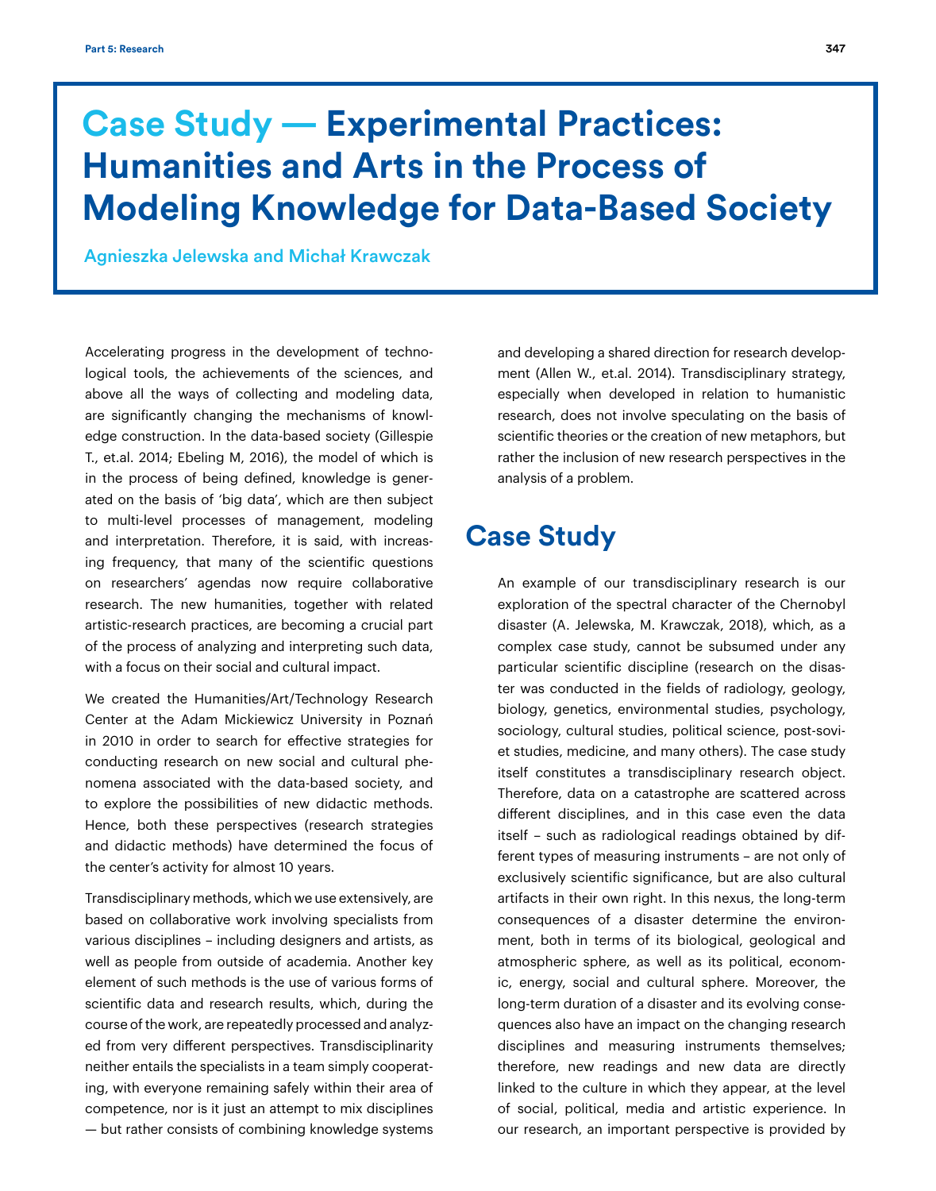# **Case Study — Experimental Practices: Humanities and Arts in the Process of Modeling Knowledge for Data-Based Society**

Agnieszka Jelewska and Michał Krawczak

Accelerating progress in the development of technological tools, the achievements of the sciences, and above all the ways of collecting and modeling data, are significantly changing the mechanisms of knowledge construction. In the data-based society (Gillespie T., et.al. 2014; Ebeling M, 2016), the model of which is in the process of being defined, knowledge is generated on the basis of 'big data', which are then subject to multi-level processes of management, modeling and interpretation. Therefore, it is said, with increasing frequency, that many of the scientific questions on researchers' agendas now require collaborative research. The new humanities, together with related artistic-research practices, are becoming a crucial part of the process of analyzing and interpreting such data, with a focus on their social and cultural impact.

We created the Humanities/Art/Technology Research Center at the Adam Mickiewicz University in Poznań in 2010 in order to search for effective strategies for conducting research on new social and cultural phenomena associated with the data-based society, and to explore the possibilities of new didactic methods. Hence, both these perspectives (research strategies and didactic methods) have determined the focus of the center's activity for almost 10 years.

Transdisciplinary methods, which we use extensively, are based on collaborative work involving specialists from various disciplines – including designers and artists, as well as people from outside of academia. Another key element of such methods is the use of various forms of scientific data and research results, which, during the course of the work, are repeatedly processed and analyzed from very different perspectives. Transdisciplinarity neither entails the specialists in a team simply cooperating, with everyone remaining safely within their area of competence, nor is it just an attempt to mix disciplines — but rather consists of combining knowledge systems

and developing a shared direction for research development (Allen W., et.al. 2014). Transdisciplinary strategy, especially when developed in relation to humanistic research, does not involve speculating on the basis of scientific theories or the creation of new metaphors, but rather the inclusion of new research perspectives in the analysis of a problem.

## **Case Study**

An example of our transdisciplinary research is our exploration of the spectral character of the Chernobyl disaster (A. Jelewska, M. Krawczak, 2018), which, as a complex case study, cannot be subsumed under any particular scientific discipline (research on the disaster was conducted in the fields of radiology, geology, biology, genetics, environmental studies, psychology, sociology, cultural studies, political science, post-soviet studies, medicine, and many others). The case study itself constitutes a transdisciplinary research object. Therefore, data on a catastrophe are scattered across different disciplines, and in this case even the data itself – such as radiological readings obtained by different types of measuring instruments – are not only of exclusively scientific significance, but are also cultural artifacts in their own right. In this nexus, the long-term consequences of a disaster determine the environment, both in terms of its biological, geological and atmospheric sphere, as well as its political, economic, energy, social and cultural sphere. Moreover, the long-term duration of a disaster and its evolving consequences also have an impact on the changing research disciplines and measuring instruments themselves; therefore, new readings and new data are directly linked to the culture in which they appear, at the level of social, political, media and artistic experience. In our research, an important perspective is provided by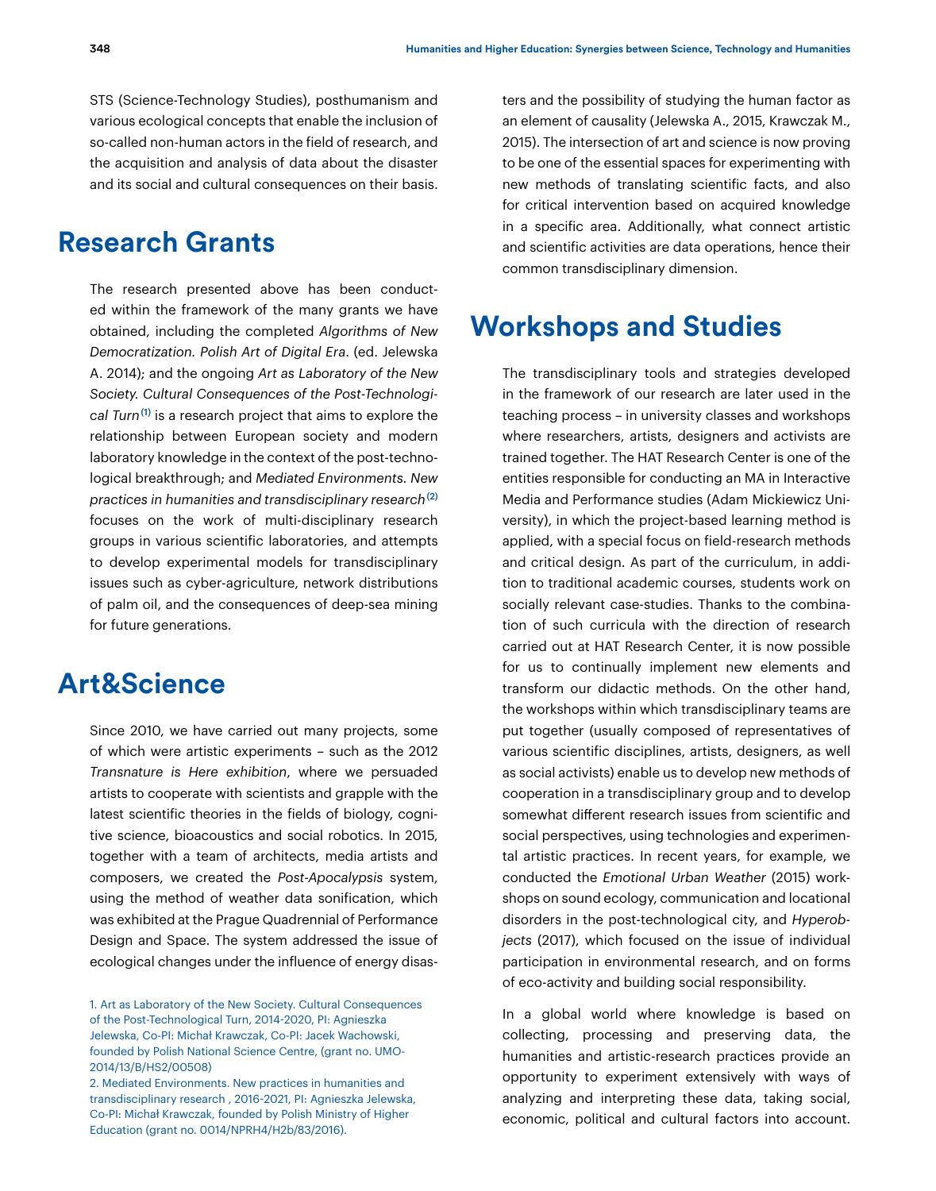STS (Science-Technology Studies), posthumanism and various ecological concepts that enable the inclusion of so-called non-human actors in the field of research, and the acquisition and analysis of data about the disaster and its social and cultural consequences on their basis.

### **Research Grants**

The research presented above has been conducted within the framework of the many grants we have obtained, including the completed *Algorithms of New Democratization. Polish Art of Digital Era*. (ed. Jelewska A. 2014); and the ongoing *Art as Laboratory of the New Society. Cultural Consequences of the Post-Technological Turn*(1) is a research project that aims to explore the relationship between European society and modern laboratory knowledge in the context of the post-technological breakthrough; and *Mediated Environments. New practices in humanities and transdisciplinary research*(2) focuses on the work of multi-disciplinary research groups in various scientific laboratories, and attempts to develop experimental models for transdisciplinary issues such as cyber-agriculture, network distributions of palm oil, and the consequences of deep-sea mining for future generations.

### **Art&Science**

Since 2010, we have carried out many projects, some of which were artistic experiments – such as the 2012 *Transnature is Here exhibition*, where we persuaded artists to cooperate with scientists and grapple with the latest scientific theories in the fields of biology, cognitive science, bioacoustics and social robotics. In 2015, together with a team of architects, media artists and composers, we created the *Post-Apocalypsis* system, using the method of weather data sonification, which was exhibited at the Prague Quadrennial of Performance Design and Space. The system addressed the issue of ecological changes under the influence of energy disasters and the possibility of studying the human factor as an element of causality (Jelewska A., 2015, Krawczak M., 2015). The intersection of art and science is now proving to be one of the essential spaces for experimenting with new methods of translating scientific facts, and also for critical intervention based on acquired knowledge in a specific area. Additionally, what connect artistic and scientific activities are data operations, hence their common transdisciplinary dimension.

#### **Workshops and Studies**

The transdisciplinary tools and strategies developed in the framework of our research are later used in the teaching process – in university classes and workshops where researchers, artists, designers and activists are trained together. The HAT Research Center is one of the entities responsible for conducting an MA in Interactive Media and Performance studies (Adam Mickiewicz University), in which the project-based learning method is applied, with a special focus on field-research methods and critical design. As part of the curriculum, in addition to traditional academic courses, students work on socially relevant case-studies. Thanks to the combination of such curricula with the direction of research carried out at HAT Research Center, it is now possible for us to continually implement new elements and transform our didactic methods. On the other hand, the workshops within which transdisciplinary teams are put together (usually composed of representatives of various scientific disciplines, artists, designers, as well as social activists) enable us to develop new methods of cooperation in a transdisciplinary group and to develop somewhat different research issues from scientific and social perspectives, using technologies and experimental artistic practices. In recent years, for example, we conducted the *Emotional Urban Weather* (2015) workshops on sound ecology, communication and locational disorders in the post-technological city, and *Hyperobjects* (2017), which focused on the issue of individual participation in environmental research, and on forms of eco-activity and building social responsibility.

In a global world where knowledge is based on collecting, processing and preserving data, the humanities and artistic-research practices provide an opportunity to experiment extensively with ways of analyzing and interpreting these data, taking social, economic, political and cultural factors into account.

<sup>1.</sup> Art as Laboratory of the New Society. Cultural Consequences of the Post-Technological Turn, 2014-2020, PI: Agnieszka Jelewska, Co-PI: Michał Krawczak, Co-PI: Jacek Wachowski, founded by Polish National Science Centre, (grant no. UMO-2014/13/B/HS2/00508)

<sup>2.</sup> Mediated Environments. New practices in humanities and transdisciplinary research , 2016-2021, PI: Agnieszka Jelewska, Co-PI: Michał Krawczak, founded by Polish Ministry of Higher Education (grant no. 0014/NPRH4/H2b/83/2016).